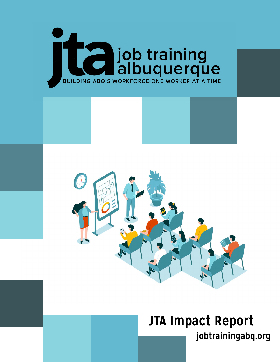



## **jobtrainingabq.org JTA Impact Report**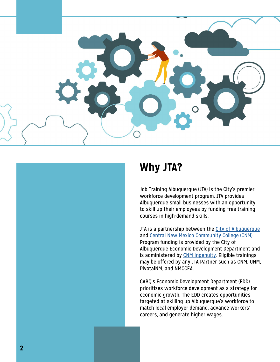

## **Why JTA?**

Job Training Albuquerque (JTA) is the City's premier workforce development program. JTA provides Albuquerque small businesses with an opportunity to skill up their employees by funding free training courses in high-demand skills.

JTA is a partnership between the City of Albuquerque and Central New Mexico Community College (CNM) . Program funding is provided by the City of Albuquerque Economic Development Department and is administered by CNM Ingenuity. Eligible trainings may be offered by any JTA Partner such as CNM, UNM, PivotalNM, and NMCCEA.

CABQ's Economic Development Department (EDD) prioritizes workforce development as a strategy for economic growth. The EDD creates opportunities targeted at skilling up Albuquerque's workforce to match local employer demand, advance workers' careers, and generate higher wages.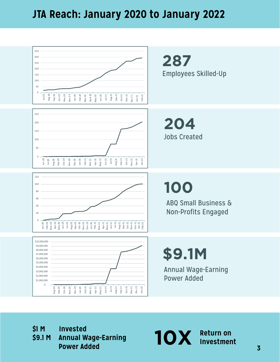#### **JTA Reach: January 2020 to January 2022**



**\$1 M Invested \$9.1 M Annual Wage-Earning Power Added**

10X Return on **Investment**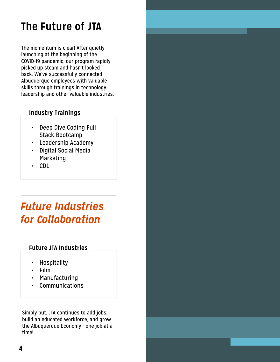## **The Future of JTA**

The momentum is clear! After quietly launching at the beginning of the COVID-19 pandemic, our program rapidly picked up steam and hasn't looked back. We've successfully connected Albuquerque employees with valuable skills through trainings in technology, leadership and other valuable industries.

#### **Industry Trainings**

- Deep Dive Coding Full Stack Bootcamp
- Leadership Academy
- Digital Social Media Marketing
- CDL

## *Future Industries for Collaboration*

#### **Future JTA Industries**

- Hospitality
- Film
- Manufacturing
- **Communications**

Simply put, JTA continues to add jobs, build an educated workforce, and grow the Albuquerque Economy - one job at a time!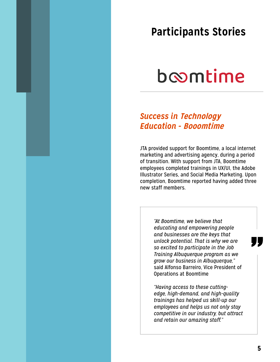### **Participants Stories**

## boomtime

#### *Success in* **Technology** *Education -* **Booomtime**

JTA provided support for Boomtime, a local internet marketing and advertising agency, during a period of transition. With support from JTA, Boomtime employees completed trainings in UX/UI, the Adobe Illustrator Series, and Social Media Marketing. Upon completion, Boomtime reported having added three new staff members.

> *"At Boomtime, we believe that educating and empowering people and businesses are the keys that unlock potential. That is why we are so excited to participate in the Job Training Albuquerque program as we grow our business in Albuquerque,"*  said Alfonso Barreiro, Vice President of Operations at Boomtime

*"Having access to these cuttingedge, high-demand, and high-quality trainings has helped us skill-up our employees and helps us not only stay competitive in our industry, but attract and retain our amazing staff."*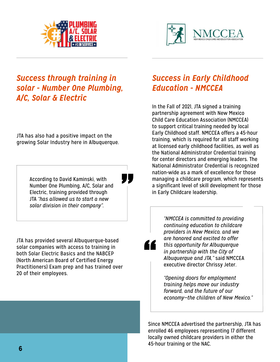



#### *Success through training in solar - Number One Plumbing, A/C, Solar & Electric*

JTA has also had a positive impact on the growing Solar Industry here in Albuquerque.

> According to David Kaminski, with Number One Plumbing, A/C, Solar and Electric, training provided through JTA *"has allowed us to start a new solar division in their company".*

JTA has provided several Albuquerque-based solar companies with access to training in both Solar Electric Basics and the NABCEP (North American Board of Certified Energy Practitioners) Exam prep and has trained over 20 of their employees.

#### *Success in Early Childhood Education - NMCCEA*

In the Fall of 2021, JTA signed a training partnership agreement with New Mexico Child Care Education Association (NMCCEA) to support critical training needed by local Early Childhood staff. NMCCEA offers a 45-hour training, which is required for all staff working at licensed early childhood facilities, as well as the National Administrator Credential training for center directors and emerging leaders. The National Administrator Credential is recognized nation-wide as a mark of excellence for those managing a childcare program, which represents a significant level of skill development for those in Early Childcare leadership.

*"NMCCEA is committed to providing continuing education to childcare providers in New Mexico, and we are honored and excited to offer this opportunity for Albuquerque in partnership with the City of Albuquerque and JTA,"* said NMCCEA executive director Chrissy Jeter.

*"Opening doors for employment training helps move our industry forward, and the future of our economy—the children of New Mexico."*

Since NMCCEA advertised the partnership, JTA has enrolled 46 employees representing 17 different locally owned childcare providers in either the 45-hour training or the NAC.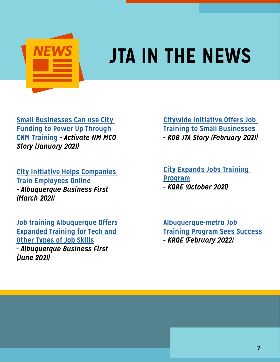

# **JTA IN THE NEWS**

**[Small Businesses Can use City](https://www.cnm.edu/news/small-businesses-can-use-city-funding-to-power-up-through-cnm-training)  [Funding to Power Up Through](https://www.cnm.edu/news/small-businesses-can-use-city-funding-to-power-up-through-cnm-training)  [CNM Training](https://www.cnm.edu/news/small-businesses-can-use-city-funding-to-power-up-through-cnm-training) -** *Activate NM MCO Story (January 2021)*

**[City Initiative Helps Companies](https://www.bizjournals.com/albuquerque/news/2021/03/10/job-training-albuquerque-offers-training.html)  [Train Employees Online](https://www.bizjournals.com/albuquerque/news/2021/03/10/job-training-albuquerque-offers-training.html) -** *Albuquerque Business First (March 2021)*

**[Job training Albuquerque Offers](https://www.bizjournals.com/albuquerque/news/2021/06/14/job-training-albuquerque-partnership-expands.html)  [Expanded Training for Tech and](https://www.bizjournals.com/albuquerque/news/2021/06/14/job-training-albuquerque-partnership-expands.html)  [Other Types of Job Skills](https://www.bizjournals.com/albuquerque/news/2021/06/14/job-training-albuquerque-partnership-expands.html) -** *Albuquerque Business First (June 2021)*

**[Citywide Initiative Offers Job](https://www.kob.com/albuquerque-news/citywide-initiative-offers-job-training-to-small-businesses/6022862/)  [Training to Small Businesses](https://www.kob.com/albuquerque-news/citywide-initiative-offers-job-training-to-small-businesses/6022862/) -** *KOB JTA Story (February 2021)*

**[City Expands Jobs Training](https://www.krqe.com/job-resources/city-expands-jobs-training-program/)  [Program](https://www.krqe.com/job-resources/city-expands-jobs-training-program/) -** *KQRE (October 2021)*

**[Albuquerque-metro Job](https://www.krqe.com/news/albuquerque-metro/albuquerques-job-training-program-sees-success/ )  [Training Program Sees Success](https://www.krqe.com/news/albuquerque-metro/albuquerques-job-training-program-sees-success/ ) -** *KRQE (February 2022)*